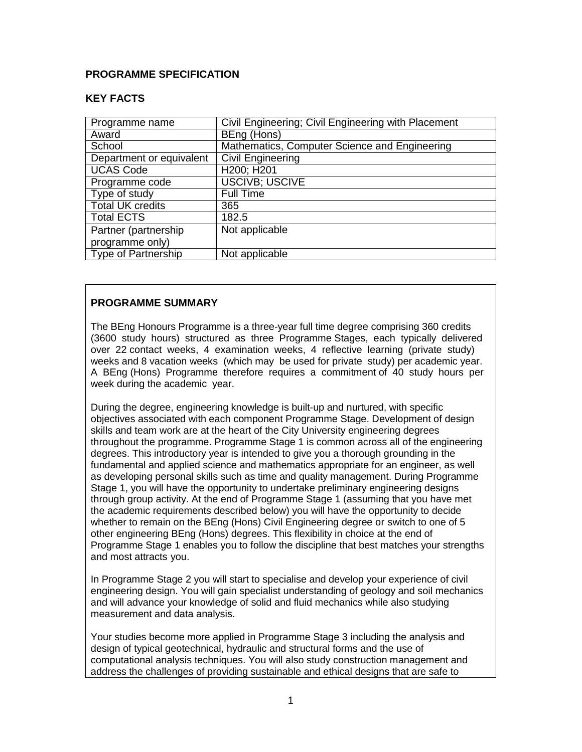### **PROGRAMME SPECIFICATION**

### **KEY FACTS**

| Programme name             | Civil Engineering; Civil Engineering with Placement |
|----------------------------|-----------------------------------------------------|
| Award                      | BEng (Hons)                                         |
| School                     | Mathematics, Computer Science and Engineering       |
| Department or equivalent   | <b>Civil Engineering</b>                            |
| <b>UCAS Code</b>           | H200; H201                                          |
| Programme code             | <b>USCIVB; USCIVE</b>                               |
| Type of study              | <b>Full Time</b>                                    |
| <b>Total UK credits</b>    | 365                                                 |
| <b>Total ECTS</b>          | 182.5                                               |
| Partner (partnership       | Not applicable                                      |
| programme only)            |                                                     |
| <b>Type of Partnership</b> | Not applicable                                      |

### **PROGRAMME SUMMARY**

The BEng Honours Programme is a three-year full time degree comprising 360 credits (3600 study hours) structured as three Programme Stages, each typically delivered over 22 contact weeks, 4 examination weeks, 4 reflective learning (private study) weeks and 8 vacation weeks (which may be used for private study) per academic year. A BEng (Hons) Programme therefore requires a commitment of 40 study hours per week during the academic year.

During the degree, engineering knowledge is built-up and nurtured, with specific objectives associated with each component Programme Stage. Development of design skills and team work are at the heart of the City University engineering degrees throughout the programme. Programme Stage 1 is common across all of the engineering degrees. This introductory year is intended to give you a thorough grounding in the fundamental and applied science and mathematics appropriate for an engineer, as well as developing personal skills such as time and quality management. During Programme Stage 1, you will have the opportunity to undertake preliminary engineering designs through group activity. At the end of Programme Stage 1 (assuming that you have met the academic requirements described below) you will have the opportunity to decide whether to remain on the BEng (Hons) Civil Engineering degree or switch to one of 5 other engineering BEng (Hons) degrees. This flexibility in choice at the end of Programme Stage 1 enables you to follow the discipline that best matches your strengths and most attracts you.

In Programme Stage 2 you will start to specialise and develop your experience of civil engineering design. You will gain specialist understanding of geology and soil mechanics and will advance your knowledge of solid and fluid mechanics while also studying measurement and data analysis.

Your studies become more applied in Programme Stage 3 including the analysis and design of typical geotechnical, hydraulic and structural forms and the use of computational analysis techniques. You will also study construction management and address the challenges of providing sustainable and ethical designs that are safe to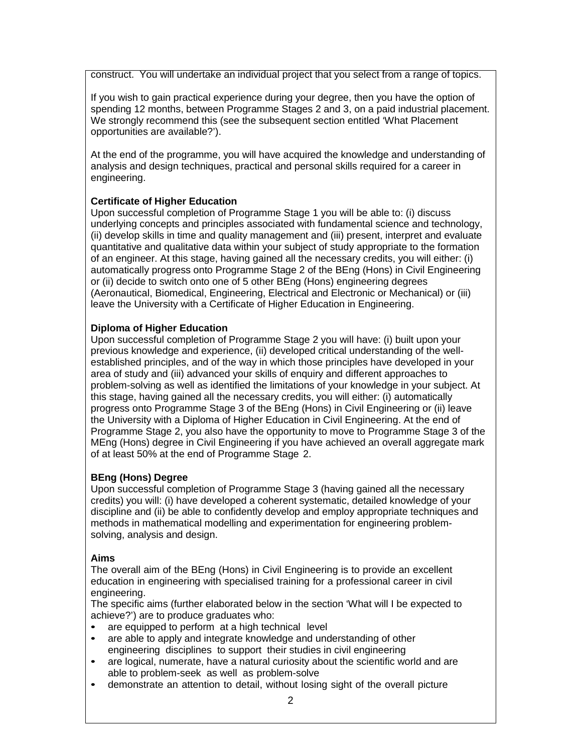construct. You will undertake an individual project that you select from a range of topics.

If you wish to gain practical experience during your degree, then you have the option of spending 12 months, between Programme Stages 2 and 3, on a paid industrial placement. We strongly recommend this (see the subsequent section entitled 'What Placement opportunities are available?').

At the end of the programme, you will have acquired the knowledge and understanding of analysis and design techniques, practical and personal skills required for a career in engineering.

### **Certificate of Higher Education**

Upon successful completion of Programme Stage 1 you will be able to: (i) discuss underlying concepts and principles associated with fundamental science and technology, (ii) develop skills in time and quality management and (iii) present, interpret and evaluate quantitative and qualitative data within your subject of study appropriate to the formation of an engineer. At this stage, having gained all the necessary credits, you will either: (i) automatically progress onto Programme Stage 2 of the BEng (Hons) in Civil Engineering or (ii) decide to switch onto one of 5 other BEng (Hons) engineering degrees (Aeronautical, Biomedical, Engineering, Electrical and Electronic or Mechanical) or (iii) leave the University with a Certificate of Higher Education in Engineering.

### **Diploma of Higher Education**

Upon successful completion of Programme Stage 2 you will have: (i) built upon your previous knowledge and experience, (ii) developed critical understanding of the wellestablished principles, and of the way in which those principles have developed in your area of study and (iii) advanced your skills of enquiry and different approaches to problem-solving as well as identified the limitations of your knowledge in your subject. At this stage, having gained all the necessary credits, you will either: (i) automatically progress onto Programme Stage 3 of the BEng (Hons) in Civil Engineering or (ii) leave the University with a Diploma of Higher Education in Civil Engineering. At the end of Programme Stage 2, you also have the opportunity to move to Programme Stage 3 of the MEng (Hons) degree in Civil Engineering if you have achieved an overall aggregate mark of at least 50% at the end of Programme Stage 2.

### **BEng (Hons) Degree**

Upon successful completion of Programme Stage 3 (having gained all the necessary credits) you will: (i) have developed a coherent systematic, detailed knowledge of your discipline and (ii) be able to confidently develop and employ appropriate techniques and methods in mathematical modelling and experimentation for engineering problemsolving, analysis and design.

### **Aims**

The overall aim of the BEng (Hons) in Civil Engineering is to provide an excellent education in engineering with specialised training for a professional career in civil engineering.

The specific aims (further elaborated below in the section 'What will I be expected to achieve?') are to produce graduates who:

- are equipped to perform at a high technical level<br>• are able to apply and integrate knowledge and unc
- are able to apply and integrate knowledge and understanding of other engineering disciplines to support their studies in civil engineering
- are logical, numerate, have a natural curiosity about the scientific world and are able to problem-seek as well as problem-solve
- demonstrate an attention to detail, without losing sight of the overall picture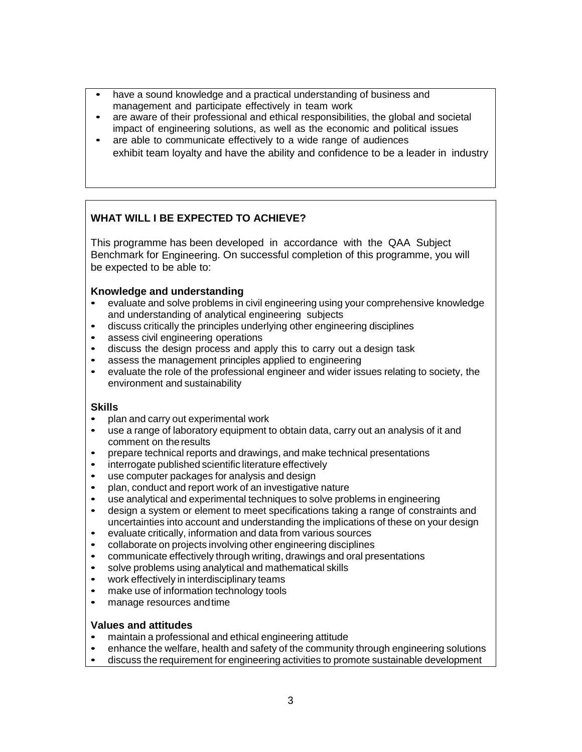- have a sound knowledge and a practical understanding of business and management and participate effectively in team work
- are aware of their professional and ethical responsibilities, the global and societal impact of engineering solutions, as well as the economic and political issues
- are able to communicate effectively to a wide range of audiences exhibit team loyalty and have the ability and confidence to be a leader in industry

# **WHAT WILL I BE EXPECTED TO ACHIEVE?**

This programme has been developed in accordance with the QAA Subject Benchmark for Engineering. On successful completion of this programme, you will be expected to be able to:

### **Knowledge and understanding**

- evaluate and solve problems in civil engineering using your comprehensive knowledge and understanding of analytical engineering subjects
- discuss critically the principles underlying other engineering disciplines<br>• assess civil engineering operations
- assess civil engineering operations<br>• discuss the design process and an
- discuss the design process and apply this to carry out a design task
- assess the management principles applied to engineering<br>• evaluate the role of the professional engineer and wider iss
- evaluate the role of the professional engineer and wider issues relating to society, the environment and sustainability

#### **Skills**

- plan and carry out experimental work
- use a range of laboratory equipment to obtain data, carry out an analysis of it and comment on theresults
- prepare technical reports and drawings, and make technical presentations<br>• interrogate published scientific literature effectively
- interrogate published scientific literature effectively
- use computer packages for analysis and design
- plan, conduct and report work of an investigative nature
- use analytical and experimental techniques to solve problems in engineering
- design a system or element to meet specifications taking a range of constraints and uncertainties into account and understanding the implications of these on your design
- evaluate critically, information and data from various sources<br>• collaborate on projects involving other engineering disciplines
- collaborate on projects involving other engineering disciplines<br>• communicate effectively through writing drawings and oral pre
- communicate effectively through writing, drawings and oral presentations<br>• solve problems using analytical and mathematical skills
- solve problems using analytical and mathematical skills<br>• work effectively in interdisciplinary teams
- work effectively in interdisciplinary teams<br>• make use of information technology tools
- make use of information technology tools
- manage resources andtime

#### **Values and attitudes**

- maintain a professional and ethical engineering attitude
- enhance the welfare, health and safety of the community through engineering solutions
- discuss the requirement for engineering activities to promote sustainable development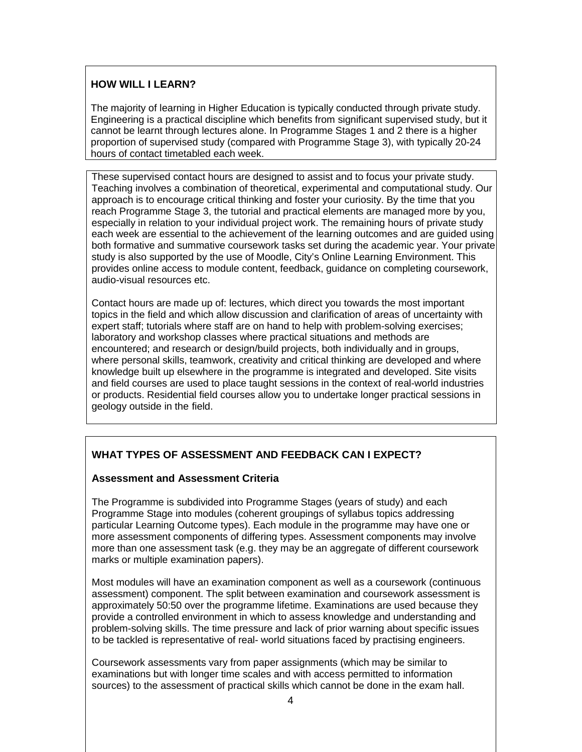### **HOW WILL I LEARN?**

The majority of learning in Higher Education is typically conducted through private study. Engineering is a practical discipline which benefits from significant supervised study, but it cannot be learnt through lectures alone. In Programme Stages 1 and 2 there is a higher proportion of supervised study (compared with Programme Stage 3), with typically 20-24 hours of contact timetabled each week.

These supervised contact hours are designed to assist and to focus your private study. Teaching involves a combination of theoretical, experimental and computational study. Our approach is to encourage critical thinking and foster your curiosity. By the time that you reach Programme Stage 3, the tutorial and practical elements are managed more by you, especially in relation to your individual project work. The remaining hours of private study each week are essential to the achievement of the learning outcomes and are guided using both formative and summative coursework tasks set during the academic year. Your private study is also supported by the use of Moodle, City's Online Learning Environment. This provides online access to module content, feedback, guidance on completing coursework, audio-visual resources etc.

Contact hours are made up of: lectures, which direct you towards the most important topics in the field and which allow discussion and clarification of areas of uncertainty with expert staff; tutorials where staff are on hand to help with problem-solving exercises; laboratory and workshop classes where practical situations and methods are encountered; and research or design/build projects, both individually and in groups, where personal skills, teamwork, creativity and critical thinking are developed and where knowledge built up elsewhere in the programme is integrated and developed. Site visits and field courses are used to place taught sessions in the context of real-world industries or products. Residential field courses allow you to undertake longer practical sessions in geology outside in the field.

# **WHAT TYPES OF ASSESSMENT AND FEEDBACK CAN I EXPECT?**

### **Assessment and Assessment Criteria**

The Programme is subdivided into Programme Stages (years of study) and each Programme Stage into modules (coherent groupings of syllabus topics addressing particular Learning Outcome types). Each module in the programme may have one or more assessment components of differing types. Assessment components may involve more than one assessment task (e.g. they may be an aggregate of different coursework marks or multiple examination papers).

Most modules will have an examination component as well as a coursework (continuous assessment) component. The split between examination and coursework assessment is approximately 50:50 over the programme lifetime. Examinations are used because they provide a controlled environment in which to assess knowledge and understanding and problem-solving skills. The time pressure and lack of prior warning about specific issues to be tackled is representative of real- world situations faced by practising engineers.

Coursework assessments vary from paper assignments (which may be similar to examinations but with longer time scales and with access permitted to information sources) to the assessment of practical skills which cannot be done in the exam hall.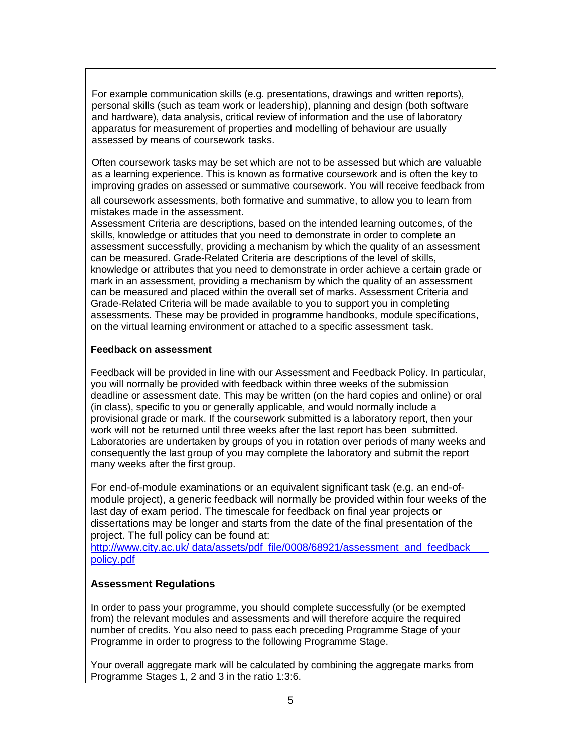For example communication skills (e.g. presentations, drawings and written reports), personal skills (such as team work or leadership), planning and design (both software and hardware), data analysis, critical review of information and the use of laboratory apparatus for measurement of properties and modelling of behaviour are usually assessed by means of coursework tasks.

Often coursework tasks may be set which are not to be assessed but which are valuable as a learning experience. This is known as formative coursework and is often the key to improving grades on assessed or summative coursework. You will receive feedback from

all coursework assessments, both formative and summative, to allow you to learn from mistakes made in the assessment.

Assessment Criteria are descriptions, based on the intended learning outcomes, of the skills, knowledge or attitudes that you need to demonstrate in order to complete an assessment successfully, providing a mechanism by which the quality of an assessment can be measured. Grade-Related Criteria are descriptions of the level of skills, knowledge or attributes that you need to demonstrate in order achieve a certain grade or mark in an assessment, providing a mechanism by which the quality of an assessment can be measured and placed within the overall set of marks. Assessment Criteria and Grade-Related Criteria will be made available to you to support you in completing assessments. These may be provided in programme handbooks, module specifications, on the virtual learning environment or attached to a specific assessment task.

#### **Feedback on assessment**

Feedback will be provided in line with our Assessment and Feedback Policy. In particular, you will normally be provided with feedback within three weeks of the submission deadline or assessment date. This may be written (on the hard copies and online) or oral (in class), specific to you or generally applicable, and would normally include a provisional grade or mark. If the coursework submitted is a laboratory report, then your work will not be returned until three weeks after the last report has been submitted. Laboratories are undertaken by groups of you in rotation over periods of many weeks and consequently the last group of you may complete the laboratory and submit the report many weeks after the first group.

For end-of-module examinations or an equivalent significant task (e.g. an end-ofmodule project), a generic feedback will normally be provided within four weeks of the last day of exam period. The timescale for feedback on final year projects or dissertations may be longer and starts from the date of the final presentation of the project. The full policy can be found at:

http://www.city.ac.uk/ [data/assets/pdf\\_file/0008/68921/assessment\\_and\\_feedback\\_](http://www.city.ac.uk/__data/assets/pdf_file/0008/68921/assessment_and_feedback_policy.pdf) [policy.pdf](http://www.city.ac.uk/__data/assets/pdf_file/0008/68921/assessment_and_feedback_policy.pdf)

### **Assessment Regulations**

In order to pass your programme, you should complete successfully (or be exempted from) the relevant modules and assessments and will therefore acquire the required number of credits. You also need to pass each preceding Programme Stage of your Programme in order to progress to the following Programme Stage.

Your overall aggregate mark will be calculated by combining the aggregate marks from Programme Stages 1, 2 and 3 in the ratio 1:3:6.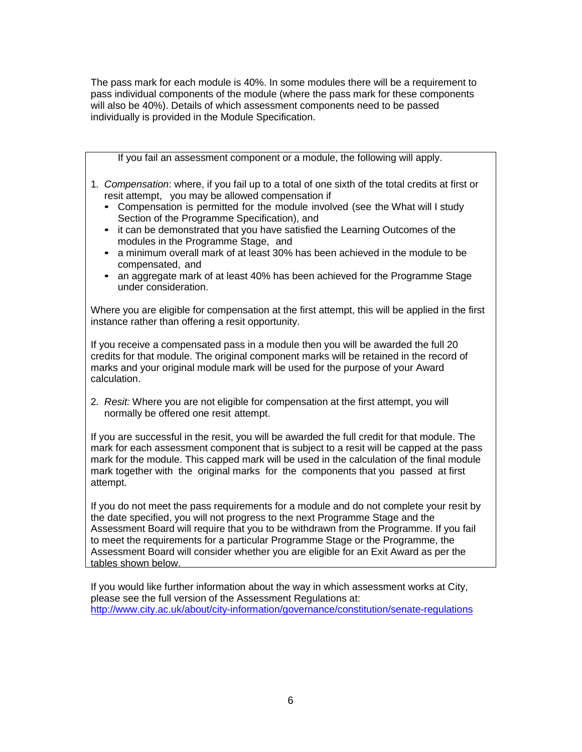The pass mark for each module is 40%. In some modules there will be a requirement to pass individual components of the module (where the pass mark for these components will also be 40%). Details of which assessment components need to be passed individually is provided in the Module Specification.

If you fail an assessment component or a module, the following will apply.

- 1. *Compensation*: where, if you fail up to a total of one sixth of the total credits at first or resit attempt, you may be allowed compensation if
	- Compensation is permitted for the module involved (see the What will I study Section of the Programme Specification), and
	- it can be demonstrated that you have satisfied the Learning Outcomes of the modules in the Programme Stage, and
	- a minimum overall mark of at least 30% has been achieved in the module to be compensated, and
	- an aggregate mark of at least 40% has been achieved for the Programme Stage under consideration.

Where you are eligible for compensation at the first attempt, this will be applied in the first instance rather than offering a resit opportunity.

If you receive a compensated pass in a module then you will be awarded the full 20 credits for that module. The original component marks will be retained in the record of marks and your original module mark will be used for the purpose of your Award calculation.

2. *Resit:* Where you are not eligible for compensation at the first attempt, you will normally be offered one resit attempt.

If you are successful in the resit, you will be awarded the full credit for that module. The mark for each assessment component that is subject to a resit will be capped at the pass mark for the module. This capped mark will be used in the calculation of the final module mark together with the original marks for the components that you passed at first attempt.

If you do not meet the pass requirements for a module and do not complete your resit by the date specified, you will not progress to the next Programme Stage and the Assessment Board will require that you to be withdrawn from the Programme. If you fail to meet the requirements for a particular Programme Stage or the Programme, the Assessment Board will consider whether you are eligible for an Exit Award as per the tables shown below.

If you would like further information about the way in which assessment works at City, please see the full version of the Assessment Regulations at: <http://www.city.ac.uk/about/city-information/governance/constitution/senate-regulations>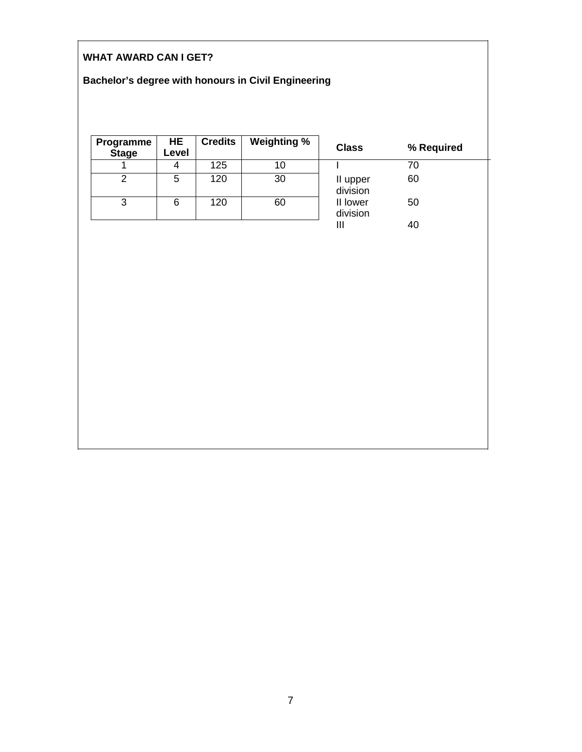# **WHAT AWARD CAN I GET?**

# **Bachelor's degree with honours in Civil Engineering**

| Programme<br><b>Stage</b> | HE<br>Level | <b>Credits</b> | <b>Weighting %</b> | <b>Class</b>         | % Required |
|---------------------------|-------------|----------------|--------------------|----------------------|------------|
|                           | 4           | 125            | 10                 |                      | 70         |
| 2                         | 5           | 120            | 30                 | II upper<br>division | 60         |
| 3                         | 6           | 120            | 60                 | II lower<br>division | 50         |
|                           |             |                |                    |                      | 40         |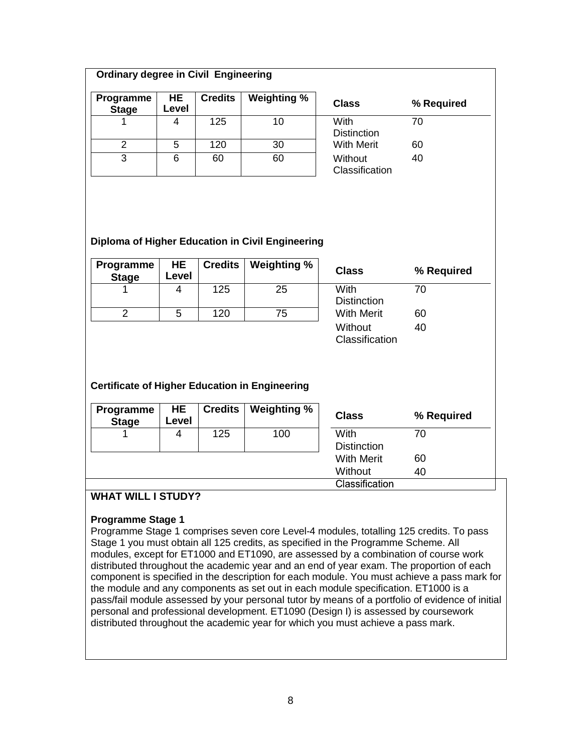### **Ordinary degree in Civil Engineering**

| Programme<br><b>Stage</b> | HE.<br>Level | <b>Credits</b> | <b>Weighting %</b> | <b>Class</b>               | % Required |
|---------------------------|--------------|----------------|--------------------|----------------------------|------------|
|                           | 4            | 125            | 10                 | With<br><b>Distinction</b> | 70         |
| 2                         | 5            | 120            | 30                 | <b>With Merit</b>          | 60         |
| 3                         | 6            | 60             | 60                 | Without<br>Classification  | 40         |

#### **Diploma of Higher Education in Civil Engineering**

| Programme<br><b>Stage</b> | <b>HE</b><br>Level | <b>Credits</b> | $\parallel$ Weighting % | <b>Class</b>               | % Required |
|---------------------------|--------------------|----------------|-------------------------|----------------------------|------------|
|                           | 4                  | 125            | 25                      | With<br><b>Distinction</b> | 70         |
|                           | 5                  | 120            | 75                      | <b>With Merit</b>          | 60         |
|                           |                    |                |                         | Without                    | 40         |

**Classification** 

# **Certificate of Higher Education in Engineering**

| Programme<br><b>Stage</b> | HE.<br>Level | Credits | <b>Weighting %</b> | <b>Class</b>       | % Required |
|---------------------------|--------------|---------|--------------------|--------------------|------------|
|                           |              | 125     | 100                | With               | 70         |
|                           |              |         |                    | <b>Distinction</b> |            |
|                           |              |         |                    | <b>With Merit</b>  | 60         |
|                           |              |         |                    | Without            | 40         |
|                           |              |         |                    | Classification     |            |

# **WHAT WILL I STUDY?**

### **Programme Stage 1**

Programme Stage 1 comprises seven core Level-4 modules, totalling 125 credits. To pass Stage 1 you must obtain all 125 credits, as specified in the Programme Scheme. All modules, except for ET1000 and ET1090, are assessed by a combination of course work distributed throughout the academic year and an end of year exam. The proportion of each component is specified in the description for each module. You must achieve a pass mark for the module and any components as set out in each module specification. ET1000 is a pass/fail module assessed by your personal tutor by means of a portfolio of evidence of initial personal and professional development. ET1090 (Design I) is assessed by coursework distributed throughout the academic year for which you must achieve a pass mark.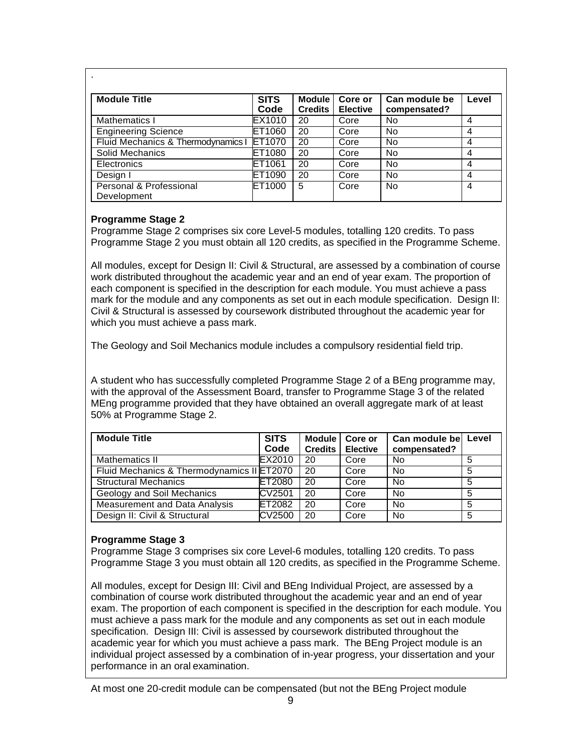| <b>Module Title</b>                    | <b>SITS</b><br>Code | <b>Module</b><br><b>Credits</b> | Core or<br><b>Elective</b> | Can module be<br>compensated? | Level          |
|----------------------------------------|---------------------|---------------------------------|----------------------------|-------------------------------|----------------|
| Mathematics I                          | EX1010              | 20                              | Core                       | No                            | $\overline{4}$ |
| <b>Engineering Science</b>             | ET1060              | 20                              | Core                       | No                            | 4              |
| Fluid Mechanics & Thermodynamics I     | ET1070              | 20                              | Core                       | No                            | 4              |
| Solid Mechanics                        | ET1080              | 20                              | Core                       | No                            | 4              |
| <b>Electronics</b>                     | ET1061              | 20                              | Core                       | <b>No</b>                     | 4              |
| Design I                               | ET1090              | 20                              | Core                       | No                            | 4              |
| Personal & Professional<br>Development | ET1000              | 5                               | Core                       | <b>No</b>                     | $\overline{4}$ |

### **Programme Stage 2**

Programme Stage 2 comprises six core Level-5 modules, totalling 120 credits. To pass Programme Stage 2 you must obtain all 120 credits, as specified in the Programme Scheme.

All modules, except for Design II: Civil & Structural, are assessed by a combination of course work distributed throughout the academic year and an end of year exam. The proportion of each component is specified in the description for each module. You must achieve a pass mark for the module and any components as set out in each module specification. Design II: Civil & Structural is assessed by coursework distributed throughout the academic year for which you must achieve a pass mark.

The Geology and Soil Mechanics module includes a compulsory residential field trip.

A student who has successfully completed Programme Stage 2 of a BEng programme may, with the approval of the Assessment Board, transfer to Programme Stage 3 of the related MEng programme provided that they have obtained an overall aggregate mark of at least 50% at Programme Stage 2.

| <b>Module Title</b>                        | <b>SITS</b><br>Code | Module<br><b>Credits</b> | Core or<br><b>Elective</b> | Can module bel<br>compensated? | Level |
|--------------------------------------------|---------------------|--------------------------|----------------------------|--------------------------------|-------|
| Mathematics II                             | EX2010              | 20                       | Core                       | No                             | 5     |
| Fluid Mechanics & Thermodynamics II ET2070 |                     | 20                       | Core                       | No                             | 5     |
| <b>Structural Mechanics</b>                | ET2080              | 20                       | Core                       | No                             | 5     |
| Geology and Soil Mechanics                 | CV2501              | 20                       | Core                       | No                             | 5     |
| Measurement and Data Analysis              | ET2082              | 20                       | Core                       | No                             | 5     |
| Design II: Civil & Structural              | CV2500              | 20                       | Core                       | <b>No</b>                      | 5     |

# **Programme Stage 3**

Programme Stage 3 comprises six core Level-6 modules, totalling 120 credits. To pass Programme Stage 3 you must obtain all 120 credits, as specified in the Programme Scheme.

All modules, except for Design III: Civil and BEng Individual Project, are assessed by a combination of course work distributed throughout the academic year and an end of year exam. The proportion of each component is specified in the description for each module. You must achieve a pass mark for the module and any components as set out in each module specification. Design III: Civil is assessed by coursework distributed throughout the academic year for which you must achieve a pass mark. The BEng Project module is an individual project assessed by a combination of in-year progress, your dissertation and your performance in an oral examination.

At most one 20-credit module can be compensated (but not the BEng Project module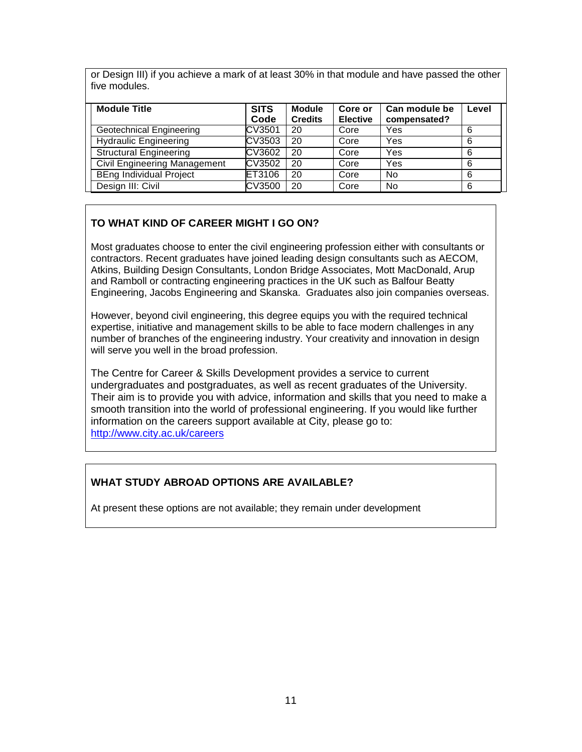or Design III) if you achieve a mark of at least 30% in that module and have passed the other five modules.

| <b>Module Title</b>                 | <b>SITS</b><br>Code | <b>Module</b><br><b>Credits</b> | Core or<br><b>Elective</b> | Can module be<br>compensated? | Level |
|-------------------------------------|---------------------|---------------------------------|----------------------------|-------------------------------|-------|
| Geotechnical Engineering            | CV3501              | 20                              | Core                       | Yes                           | 6     |
| <b>Hydraulic Engineering</b>        | CV3503              | 20                              | Core                       | Yes                           | 6     |
| <b>Structural Engineering</b>       | CV3602              | 20                              | Core                       | Yes                           | 6     |
| <b>Civil Engineering Management</b> | CV3502              | 20                              | Core                       | Yes                           | 6     |
| <b>BEng Individual Project</b>      | ET3106              | 20                              | Core                       | No                            | 6     |
| Design III: Civil                   | CV3500              | 20                              | Core                       | <b>No</b>                     | 6     |

# **TO WHAT KIND OF CAREER MIGHT I GO ON?**

Most graduates choose to enter the civil engineering profession either with consultants or contractors. Recent graduates have joined leading design consultants such as AECOM, Atkins, Building Design Consultants, London Bridge Associates, Mott MacDonald, Arup and Ramboll or contracting engineering practices in the UK such as Balfour Beatty Engineering, Jacobs Engineering and Skanska. Graduates also join companies overseas.

However, beyond civil engineering, this degree equips you with the required technical expertise, initiative and management skills to be able to face modern challenges in any number of branches of the engineering industry. Your creativity and innovation in design will serve you well in the broad profession.

The Centre for Career & Skills Development provides a service to current undergraduates and postgraduates, as well as recent graduates of the University. Their aim is to provide you with advice, information and skills that you need to make a smooth transition into the world of professional engineering. If you would like further information on the careers support available at City, please go to: <http://www.city.ac.uk/careers>

# **WHAT STUDY ABROAD OPTIONS ARE AVAILABLE?**

At present these options are not available; they remain under development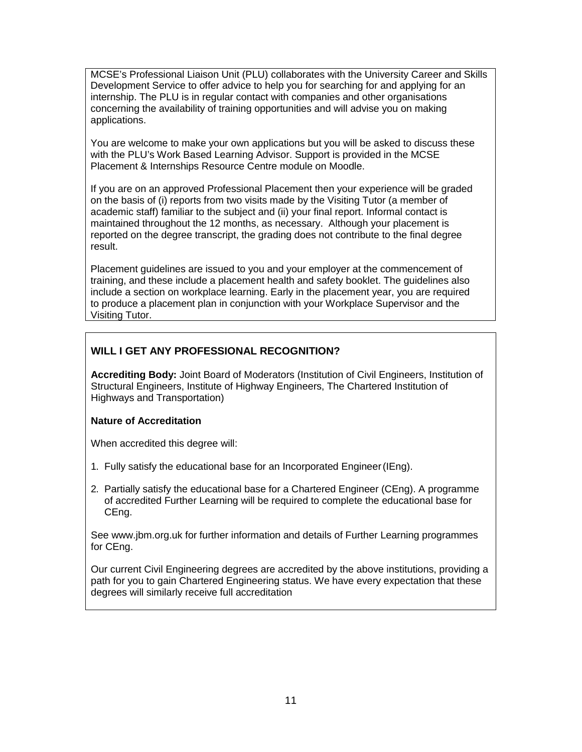MCSE's Professional Liaison Unit (PLU) collaborates with the University Career and Skills Development Service to offer advice to help you for searching for and applying for an internship. The PLU is in regular contact with companies and other organisations concerning the availability of training opportunities and will advise you on making applications.

You are welcome to make your own applications but you will be asked to discuss these with the PLU's Work Based Learning Advisor. Support is provided in the MCSE Placement & Internships Resource Centre module on Moodle.

If you are on an approved Professional Placement then your experience will be graded on the basis of (i) reports from two visits made by the Visiting Tutor (a member of academic staff) familiar to the subject and (ii) your final report. Informal contact is maintained throughout the 12 months, as necessary. Although your placement is reported on the degree transcript, the grading does not contribute to the final degree result.

Placement guidelines are issued to you and your employer at the commencement of training, and these include a placement health and safety booklet. The guidelines also include a section on workplace learning. Early in the placement year, you are required to produce a placement plan in conjunction with your Workplace Supervisor and the Visiting Tutor.

### **WILL I GET ANY PROFESSIONAL RECOGNITION?**

**Accrediting Body:** Joint Board of Moderators (Institution of Civil Engineers, Institution of Structural Engineers, Institute of Highway Engineers, The Chartered Institution of Highways and Transportation)

### **Nature of Accreditation**

When accredited this degree will:

- 1. Fully satisfy the educational base for an Incorporated Engineer(IEng).
- 2. Partially satisfy the educational base for a Chartered Engineer (CEng). A programme of accredited Further Learning will be required to complete the educational base for CEng.

See [www.jbm.org.uk f](http://www.jbm.org.uk/)or further information and details of Further Learning programmes for CEng.

Our current Civil Engineering degrees are accredited by the above institutions, providing a path for you to gain Chartered Engineering status. We have every expectation that these degrees will similarly receive full accreditation